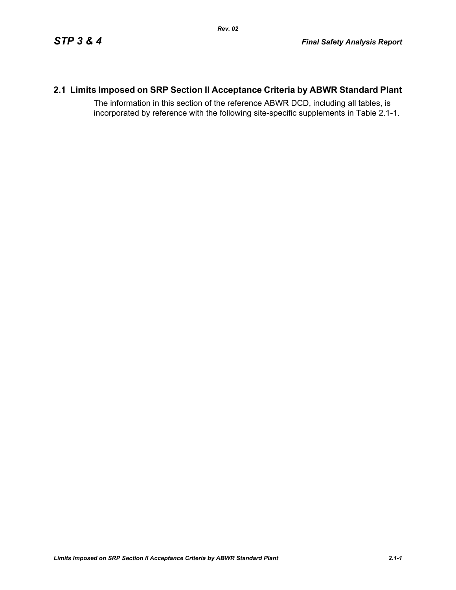# **2.1 Limits Imposed on SRP Section II Acceptance Criteria by ABWR Standard Plant**

The information in this section of the reference ABWR DCD, including all tables, is incorporated by reference with the following site-specific supplements in Table [2.1-1.](#page-1-0)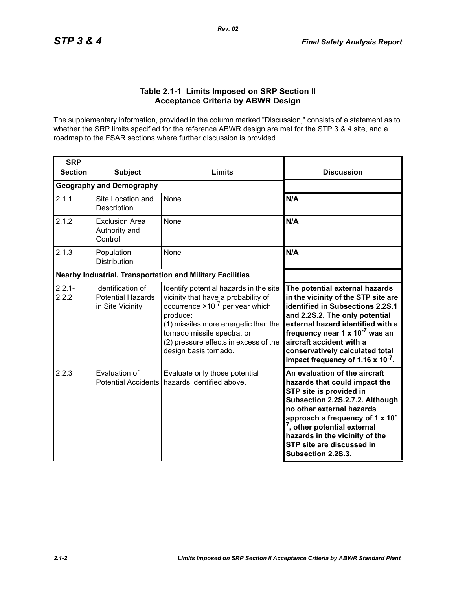## **Table 2.1-1 Limits Imposed on SRP Section II Acceptance Criteria by ABWR Design**

<span id="page-1-0"></span>The supplementary information, provided in the column marked "Discussion," consists of a statement as to whether the SRP limits specified for the reference ABWR design are met for the STP 3 & 4 site, and a roadmap to the FSAR sections where further discussion is provided.

| <b>SRP</b>                                                       |                                                                   |                                                                                                                                                                                                                                                                            |                                                                                                                                                                                                                                                                                                                                                       |
|------------------------------------------------------------------|-------------------------------------------------------------------|----------------------------------------------------------------------------------------------------------------------------------------------------------------------------------------------------------------------------------------------------------------------------|-------------------------------------------------------------------------------------------------------------------------------------------------------------------------------------------------------------------------------------------------------------------------------------------------------------------------------------------------------|
| <b>Section</b>                                                   | <b>Subject</b>                                                    | Limits                                                                                                                                                                                                                                                                     | <b>Discussion</b>                                                                                                                                                                                                                                                                                                                                     |
|                                                                  | <b>Geography and Demography</b>                                   |                                                                                                                                                                                                                                                                            |                                                                                                                                                                                                                                                                                                                                                       |
| 2.1.1                                                            | Site Location and<br>Description                                  | None                                                                                                                                                                                                                                                                       | N/A                                                                                                                                                                                                                                                                                                                                                   |
| 2.1.2                                                            | <b>Exclusion Area</b><br>Authority and<br>Control                 | <b>None</b>                                                                                                                                                                                                                                                                | N/A                                                                                                                                                                                                                                                                                                                                                   |
| 2.1.3                                                            | Population<br><b>Distribution</b>                                 | None                                                                                                                                                                                                                                                                       | N/A                                                                                                                                                                                                                                                                                                                                                   |
| <b>Nearby Industrial, Transportation and Military Facilities</b> |                                                                   |                                                                                                                                                                                                                                                                            |                                                                                                                                                                                                                                                                                                                                                       |
| $2.2.1 -$<br>2.2.2                                               | Identification of<br><b>Potential Hazards</b><br>in Site Vicinity | Identify potential hazards in the site<br>vicinity that have a probability of<br>occurrence $>10^{-7}$ per year which<br>produce:<br>(1) missiles more energetic than the<br>tornado missile spectra, or<br>(2) pressure effects in excess of the<br>design basis tornado. | The potential external hazards<br>in the vicinity of the STP site are<br>identified in Subsections 2.2S.1<br>and 2.2S.2. The only potential<br>external hazard identified with a<br>frequency near 1 x 10 <sup>-7</sup> was an<br>aircraft accident with a<br>conservatively calculated total<br>impact frequency of 1.16 $\times$ 10 <sup>-7</sup> . |
| 2.2.3                                                            | Evaluation of<br><b>Potential Accidents</b>                       | Evaluate only those potential<br>hazards identified above.                                                                                                                                                                                                                 | An evaluation of the aircraft<br>hazards that could impact the<br>STP site is provided in<br>Subsection 2.2S.2.7.2. Although<br>no other external hazards<br>approach a frequency of 1 x 10 <sup>-</sup><br><sup>7</sup> , other potential external<br>hazards in the vicinity of the<br>STP site are discussed in<br>Subsection 2.2S.3.              |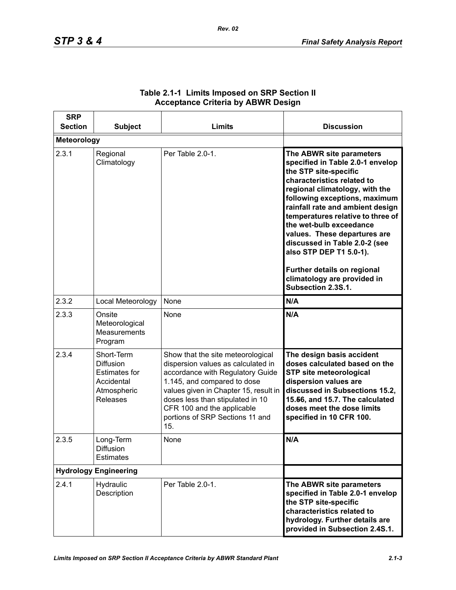| <b>SRP</b><br><b>Section</b> | <b>Subject</b>                                                                                         | Limits                                                                                                                                                                                                                                                                                          | <b>Discussion</b>                                                                                                                                                                                                                                                                                                                                                                                                                                                          |
|------------------------------|--------------------------------------------------------------------------------------------------------|-------------------------------------------------------------------------------------------------------------------------------------------------------------------------------------------------------------------------------------------------------------------------------------------------|----------------------------------------------------------------------------------------------------------------------------------------------------------------------------------------------------------------------------------------------------------------------------------------------------------------------------------------------------------------------------------------------------------------------------------------------------------------------------|
| <b>Meteorology</b>           |                                                                                                        |                                                                                                                                                                                                                                                                                                 |                                                                                                                                                                                                                                                                                                                                                                                                                                                                            |
| 2.3.1                        | Regional<br>Climatology                                                                                | Per Table 2.0-1.                                                                                                                                                                                                                                                                                | The ABWR site parameters<br>specified in Table 2.0-1 envelop<br>the STP site-specific<br>characteristics related to<br>regional climatology, with the<br>following exceptions, maximum<br>rainfall rate and ambient design<br>temperatures relative to three of<br>the wet-bulb exceedance<br>values. These departures are<br>discussed in Table 2.0-2 (see<br>also STP DEP T1 5.0-1).<br>Further details on regional<br>climatology are provided in<br>Subsection 2.3S.1. |
| 2.3.2                        | Local Meteorology                                                                                      | None                                                                                                                                                                                                                                                                                            | N/A                                                                                                                                                                                                                                                                                                                                                                                                                                                                        |
| 2.3.3                        | Onsite<br>Meteorological<br>Measurements<br>Program                                                    | None                                                                                                                                                                                                                                                                                            | N/A                                                                                                                                                                                                                                                                                                                                                                                                                                                                        |
| 2.3.4                        | Short-Term<br><b>Diffusion</b><br><b>Estimates for</b><br>Accidental<br>Atmospheric<br><b>Releases</b> | Show that the site meteorological<br>dispersion values as calculated in<br>accordance with Regulatory Guide<br>1.145, and compared to dose<br>values given in Chapter 15, result in<br>doses less than stipulated in 10<br>CFR 100 and the applicable<br>portions of SRP Sections 11 and<br>15. | The design basis accident<br>doses calculated based on the<br><b>STP site meteorological</b><br>dispersion values are<br>discussed in Subsections 15.2,<br>15.56, and 15.7. The calculated<br>doses meet the dose limits<br>specified in 10 CFR 100.                                                                                                                                                                                                                       |
| 2.3.5                        | Long-Term<br>Diffusion<br><b>Estimates</b>                                                             | None                                                                                                                                                                                                                                                                                            | N/A                                                                                                                                                                                                                                                                                                                                                                                                                                                                        |
| <b>Hydrology Engineering</b> |                                                                                                        |                                                                                                                                                                                                                                                                                                 |                                                                                                                                                                                                                                                                                                                                                                                                                                                                            |
| 2.4.1                        | Hydraulic<br>Description                                                                               | Per Table 2.0-1.                                                                                                                                                                                                                                                                                | The ABWR site parameters<br>specified in Table 2.0-1 envelop<br>the STP site-specific<br>characteristics related to<br>hydrology. Further details are<br>provided in Subsection 2.4S.1.                                                                                                                                                                                                                                                                                    |

## **Table 2.1-1 Limits Imposed on SRP Section II Acceptance Criteria by ABWR Design**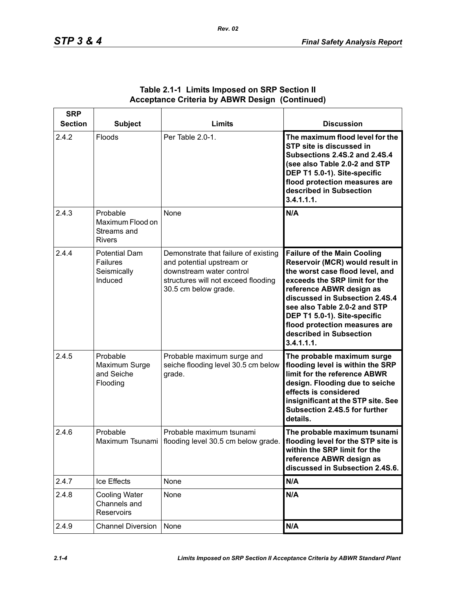| <b>SRP</b><br><b>Section</b> | <b>Subject</b>                                                    | Limits                                                                                                                                                       | <b>Discussion</b>                                                                                                                                                                                                                                                                                                                                 |
|------------------------------|-------------------------------------------------------------------|--------------------------------------------------------------------------------------------------------------------------------------------------------------|---------------------------------------------------------------------------------------------------------------------------------------------------------------------------------------------------------------------------------------------------------------------------------------------------------------------------------------------------|
| 2.4.2                        | Floods                                                            | Per Table 2.0-1.                                                                                                                                             | The maximum flood level for the<br>STP site is discussed in<br><b>Subsections 2.4S.2 and 2.4S.4</b><br>(see also Table 2.0-2 and STP<br>DEP T1 5.0-1). Site-specific<br>flood protection measures are<br>described in Subsection<br>3.4.1.1.1.                                                                                                    |
| 2.4.3                        | Probable<br>Maximum Flood on<br>Streams and<br><b>Rivers</b>      | None                                                                                                                                                         | N/A                                                                                                                                                                                                                                                                                                                                               |
| 2.4.4                        | <b>Potential Dam</b><br><b>Failures</b><br>Seismically<br>Induced | Demonstrate that failure of existing<br>and potential upstream or<br>downstream water control<br>structures will not exceed flooding<br>30.5 cm below grade. | <b>Failure of the Main Cooling</b><br>Reservoir (MCR) would result in<br>the worst case flood level, and<br>exceeds the SRP limit for the<br>reference ABWR design as<br>discussed in Subsection 2.4S.4<br>see also Table 2.0-2 and STP<br>DEP T1 5.0-1). Site-specific<br>flood protection measures are<br>described in Subsection<br>3.4.1.1.1. |
| 2.4.5                        | Probable<br>Maximum Surge<br>and Seiche<br>Flooding               | Probable maximum surge and<br>seiche flooding level 30.5 cm below<br>grade.                                                                                  | The probable maximum surge<br>flooding level is within the SRP<br>limit for the reference ABWR<br>design. Flooding due to seiche<br>effects is considered<br>insignificant at the STP site. See<br>Subsection 2.4S.5 for further<br>details.                                                                                                      |
| 2.4.6                        | Probable                                                          | Probable maximum tsunami<br>Maximum Tsunami   flooding level 30.5 cm below grade.                                                                            | The probable maximum tsunami<br>flooding level for the STP site is<br>within the SRP limit for the<br>reference ABWR design as<br>discussed in Subsection 2.4S.6.                                                                                                                                                                                 |
| 2.4.7                        | Ice Effects                                                       | None                                                                                                                                                         | N/A                                                                                                                                                                                                                                                                                                                                               |
| 2.4.8                        | <b>Cooling Water</b><br>Channels and<br>Reservoirs                | None                                                                                                                                                         | N/A                                                                                                                                                                                                                                                                                                                                               |
| 2.4.9                        | <b>Channel Diversion</b>                                          | None                                                                                                                                                         | N/A                                                                                                                                                                                                                                                                                                                                               |

## **Table 2.1-1 Limits Imposed on SRP Section II Acceptance Criteria by ABWR Design (Continued)**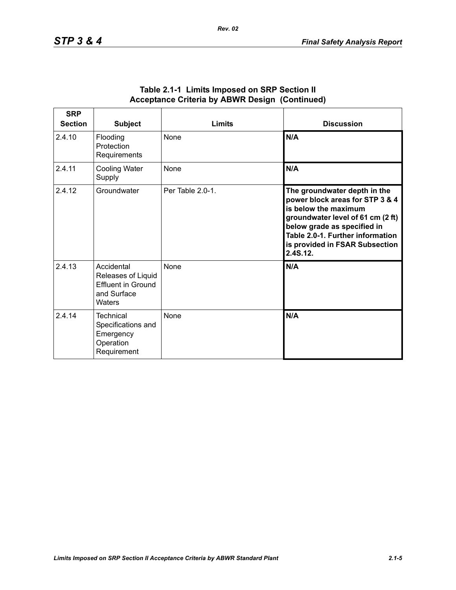| <b>SRP</b><br><b>Section</b> | <b>Subject</b>                                                                         | Limits           | <b>Discussion</b>                                                                                                                                                                                                                             |
|------------------------------|----------------------------------------------------------------------------------------|------------------|-----------------------------------------------------------------------------------------------------------------------------------------------------------------------------------------------------------------------------------------------|
| 2.4.10                       | Flooding<br>Protection<br>Requirements                                                 | <b>None</b>      | N/A                                                                                                                                                                                                                                           |
| 2.4.11                       | <b>Cooling Water</b><br>Supply                                                         | <b>None</b>      | N/A                                                                                                                                                                                                                                           |
| 2.4.12                       | Groundwater                                                                            | Per Table 2.0-1. | The groundwater depth in the<br>power block areas for STP 3 & 4<br>is below the maximum<br>groundwater level of 61 cm (2 ft)<br>below grade as specified in<br>Table 2.0-1. Further information<br>is provided in FSAR Subsection<br>2.4S.12. |
| 2.4.13                       | Accidental<br>Releases of Liquid<br><b>Effluent in Ground</b><br>and Surface<br>Waters | None             | N/A                                                                                                                                                                                                                                           |
| 2.4.14                       | Technical<br>Specifications and<br>Emergency<br>Operation<br>Requirement               | <b>None</b>      | N/A                                                                                                                                                                                                                                           |

#### **Table 2.1-1 Limits Imposed on SRP Section II Acceptance Criteria by ABWR Design (Continued)**